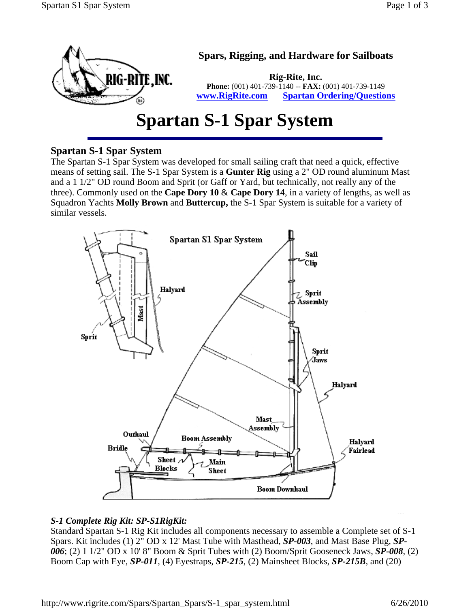

# **Spartan S-1 Spar System**

# **Spartan S-1 Spar System**

The Spartan S-1 Spar System was developed for small sailing craft that need a quick, effective means of setting sail. The S-1 Spar System is a **Gunter Rig** using a 2" OD round aluminum Mast and a 1 1/2" OD round Boom and Sprit (or Gaff or Yard, but technically, not really any of the three). Commonly used on the **Cape Dory 10** & **Cape Dory 14**, in a variety of lengths, as well as Squadron Yachts **Molly Brown** and **Buttercup,** the S-1 Spar System is suitable for a variety of similar vessels.



#### *S-1 Complete Rig Kit: SP-S1RigKit:*

Standard Spartan S-1 Rig Kit includes all components necessary to assemble a Complete set of S-1 Spars. Kit includes (1) 2" OD x 12' Mast Tube with Masthead, *SP-003*, and Mast Base Plug, *SP-006*; (2) 1 1/2" OD x 10' 8" Boom & Sprit Tubes with (2) Boom/Sprit Gooseneck Jaws, *SP-008*, (2) Boom Cap with Eye, *SP-011*, (4) Eyestraps, *SP-215*, (2) Mainsheet Blocks, *SP-215B*, and (20)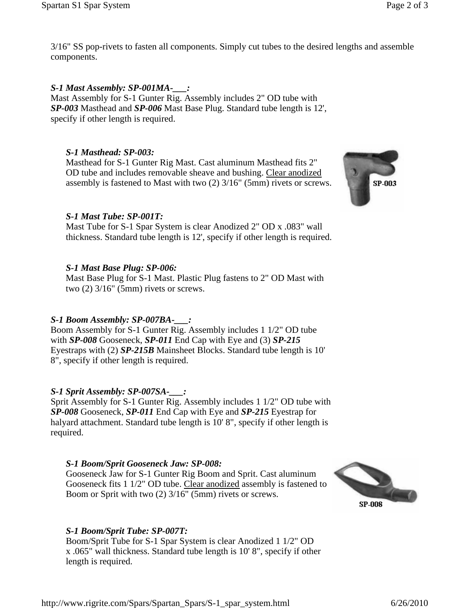3/16" SS pop-rivets to fasten all components. Simply cut tubes to the desired lengths and assemble components.

# *S-1 Mast Assembly: SP-001MA-\_\_\_:*

Mast Assembly for S-1 Gunter Rig. Assembly includes 2" OD tube with *SP-003* Masthead and *SP-006* Mast Base Plug. Standard tube length is 12', specify if other length is required.

# *S-1 Masthead: SP-003:*

Masthead for S-1 Gunter Rig Mast. Cast aluminum Masthead fits 2" OD tube and includes removable sheave and bushing. Clear anodized assembly is fastened to Mast with two (2) 3/16" (5mm) rivets or screws.

## *S-1 Mast Tube: SP-001T:*

Mast Tube for S-1 Spar System is clear Anodized 2" OD x .083" wall thickness. Standard tube length is 12', specify if other length is required.

## *S-1 Mast Base Plug: SP-006:*

Mast Base Plug for S-1 Mast. Plastic Plug fastens to 2" OD Mast with two  $(2)$  3/16" (5mm) rivets or screws.

# *S-1 Boom Assembly: SP-007BA-\_\_\_:*

Boom Assembly for S-1 Gunter Rig. Assembly includes 1 1/2" OD tube with *SP-008* Gooseneck, *SP-011* End Cap with Eye and (3) *SP-215* Eyestraps with (2) *SP-215B* Mainsheet Blocks. Standard tube length is 10' 8", specify if other length is required.

# *S-1 Sprit Assembly: SP-007SA-\_\_\_:*

Sprit Assembly for S-1 Gunter Rig. Assembly includes 1 1/2" OD tube with *SP-008* Gooseneck, *SP-011* End Cap with Eye and *SP-215* Eyestrap for halyard attachment. Standard tube length is 10' 8", specify if other length is required.

#### *S-1 Boom/Sprit Gooseneck Jaw: SP-008:*

Gooseneck Jaw for S-1 Gunter Rig Boom and Sprit. Cast aluminum Gooseneck fits 1 1/2" OD tube. Clear anodized assembly is fastened to Boom or Sprit with two (2) 3/16" (5mm) rivets or screws.



# *S-1 Boom/Sprit Tube: SP-007T:*

Boom/Sprit Tube for S-1 Spar System is clear Anodized 1 1/2" OD x .065" wall thickness. Standard tube length is 10' 8", specify if other length is required.